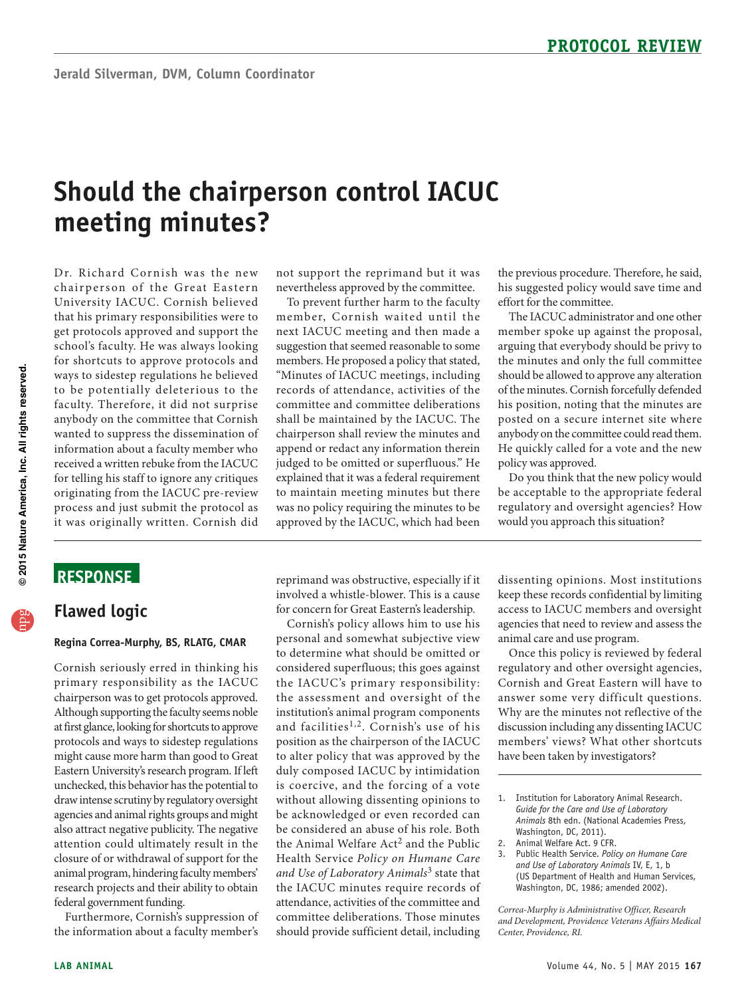# **Should the chairperson control IACUC meeting minutes?**

that his primary responsibilities were to get protocols approved and support the school's faculty. He was always looking anybody on the committee that Cornish information about a faculty member who process and just submit the proto col as it was originally written. Cornish did Dr. Richard Cornish was the new chairperson of the Great Eastern University IACUC. Cornish believed for shortcuts to approve protocols and ways to sidestep regulations he believed to be potentially deleterious to the faculty. Therefore, it did not surprise wanted to suppress the dissemination of received a written rebuke from the IACUC for telling his staff to ignore any critiques originating from the IACUC pre-review

# **ReSponSe**

# **Flawed logic**

#### **Regina Correa-Murphy, BS, RLATG, CMAR**

 C ornish s eriously erred in thinking his primary responsibility as the IACUC Although supporting the faculty seems noble unchecked, this behavior has the potential to draw intense scrutiny by regulatory oversight also attract negative publicity. The negative closure of or withdrawal of support for the animal program, hindering faculty members' research projects and their ability to obtain chairperson was to get protocols approved. at first glance, looking for shortcuts to approve protocols and ways to sidestep regulations might cause more harm than good to Great Eastern University's research program. If left agencies and animal rights groups and might attention could ultimately result in the federal government funding.

Furthermore, Cornish's suppression of the information about a faculty member's

 nevertheless approved by the committee. not support the reprimand but it was

 To prevent further harm to the faculty next IACUC meeting and then made a members. He proposed a policy that stated, "Minutes of IACUC meetings, including committee and committee deliberations member, Cornish waited until the suggestion that seemed reasonable to some records of attendance, activities of the shall be maintained by the IACUC. The chairperson shall review the minutes and append or redact any information therein judged to be omitted or superfluous." He explained that it was a federal requirement to maintain meeting minutes but there was no policy requiring the minutes to be approved by the IACUC, which had been

reprimand was obstructive, especially if it involved a whistle-blower. This is a cause for concern for Great Eastern's leadership.

 to determine what should be omitted or institution's animal program components the Animal Welfare Act<sup>2</sup> and the Public should provide sufficient detail, including Cornish's policy allows him to use his personal and somewhat subjective view considered superfluous; this goes against the IACUC's primary responsibility: the assessment and oversight of the and facilities<sup>1,2</sup>. Cornish's use of his position as the chairperson of the IACUC to alter policy that was approved by the duly composed IACUC by intimidation is coercive, and the forcing of a vote without allowing dissenting opinions to be acknowledged or even recorded can be considered an abuse of his role. Both Health Service *Policy on Humane Care and Use of Laboratory Animals*3 state that the IACUC minutes require records of attendance, activities of the committee and committee deliberations. Those minutes

the previous procedure. Therefore, he said, his suggested policy would save time and effort for the committee.

member spoke up against the proposal, the minutes and only the full committee should be allowed to approve any alteration of the minutes. Cornish forcefully defended The IACUC administrator and one other arguing that everybody should be privy to his position, noting that the minutes are posted on a secure internet site where anybody on the committee could read them. He quickly called for a vote and the new policy was approved.

Do you think that the new policy would be acceptable to the appropriate federal regulatory and oversight agencies? How would you approach this situation?

dissenting opinions. Most institutions keep these records confidential by limiting access to IACUC members and oversight agencies that need to review and assess the animal care and use program.

 Once this policy is reviewed by federal regulatory and other oversight agencies, Cornish and Great Eastern will have to answer some very difficult questions. Why are the minutes not reflective of the discussion including any dissenting IACUC members' views? What other shortcuts have been taken by investigators?

- 1. Institution for Laboratory Animal Research. *Guide for the Care and Use of Laboratory Animals* 8th edn. (National Academies Press, Washington, DC, 2011).
- 2. Animal Welfare Act. 9 CFR.
- 3. Public Health Service. *Policy on Humane Care and Use of Laboratory Animals* IV, E, 1, b (US Department of Health and Human Services, Washington, DC, 1986; amended 2002).

*Correa-Murphy is Administrative Officer, Research and Development, Providence Veterans Affairs Medical Center, Providence, RI.* 

npg **© 2015 Nature America, Inc. All rights reserved.**

@ 2015 Nature America, Inc. All rights reserved.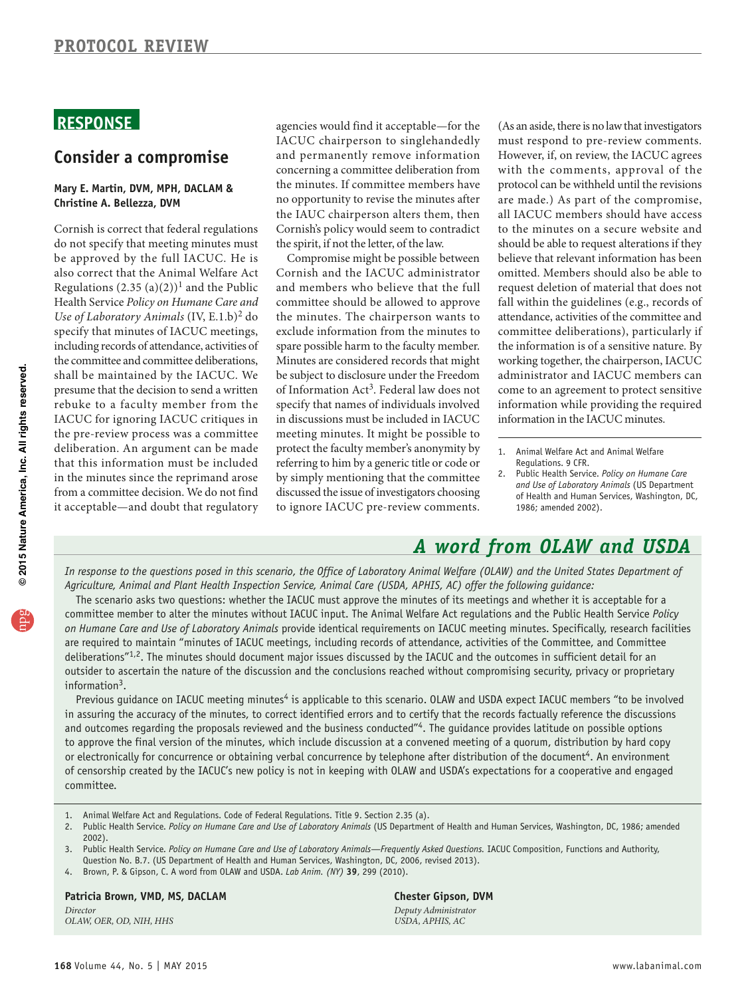# **ReSponSe**

### **Consider a compromise**

#### **Mary e. Martin, DVM, MpH, DACLAM & Christine A. Bellezza, DVM**

 Cornish is correct that federal regulations presume that the decision to send a written rebuke to a faculty member from the IACUC for ignoring IACUC critiques in it acceptable—and doubt that regulatory do not specify that meeting minutes must be approved by the full IACUC. He is also correct that the Animal Welfare Act Regulations  $(2.35 (a)(2))^1$  and the Public Health Service *Policy on Humane Care and Use of Laboratory Animals* (IV, E.1.b)2 do specify that minutes of IACUC meetings, including records of attendance, activities of the committee and committee deliberations, shall be maintained by the IACUC. We the pre-review process was a committee deliberation. An argument can be made that this information must be included in the minutes since the reprimand arose from a committee decision. We do not find

agencies would find it acceptable—for the IACUC chairperson to singlehandedly and permanently remove information concerning a committee deliberation from the minutes. If committee members have no opportunity to revise the minutes after the IAUC chairperson alters them, then Cornish's policy would seem to contradict the spirit, if not the letter, of the law.

 spare possible harm to the faculty member. in discussions must be included in IACUC protect the faculty member's anonymity by by simply mentioning that the committee discussed the issue of investigators choosing Compromise might be possible between Cornish and the IACUC administrator and members who believe that the full committee should be allowed to approve the minutes. The chairperson wants to exclude information from the minutes to Minutes are considered records that might be subject to disclosure under the Freedom of Information Act3. Federal law does not specify that names of individuals involved meeting minutes. It might be possible to referring to him by a generic title or code or to ignore IACUC pre-review comments.

 (As an aside, there is no law that investigators protocol can be withheld until the revisions to the minutes on a secure website and should be able to request alterations if they must respond to pre-review comments. However, if, on review, the IACUC agrees with the comments, approval of the are made.) As part of the compromise, all IACUC members should have access believe that relevant information has been omitted. Members should also be able to request deletion of material that does not fall within the guidelines (e.g., records of attendance, activities of the committee and committee deliberations), particularly if the information is of a sensitive nature. By working together, the chairperson, IACUC administrator and IACUC members can come to an agreement to protect sensitive information while providing the required information in the IACUC minutes.

# *A word from OLAW and USDA*

In response to the questions posed in this scenario, the Office of Laboratory Animal Welfare (OLAW) and the United States Department of *Agriculture, Animal and Plant Health Inspection Service, Animal Care (USDA, APHIS, AC) offer the following guidance:* 

The scenario asks two questions: whether the IACUC must approve the minutes of its meetings and whether it is acceptable for a committee member to alter the minutes without IACUC input. The Animal Welfare Act regulations and the Public Health Service *Policy on Humane Care and Use of Laboratory Animals* provide identical requirements on IACUC meeting minutes. Specifically, research facilities are required to maintain "minutes of IACUC meetings, including records of attendance, activities of the Committee, and Committee deliberations"<sup>1,2</sup>. The minutes should document major issues discussed by the IACUC and the outcomes in sufficient detail for an outsider to ascertain the nature of the discussion and the conclusions reached without compromising security, privacy or proprietary information $3$ .

Previous guidance on IACUC meeting minutes<sup>4</sup> is applicable to this scenario. OLAW and USDA expect IACUC members "to be involved in assuring the accuracy of the minutes, to correct identified errors and to certify that the records factually reference the discussions and outcomes regarding the proposals reviewed and the business conducted"4. The guidance provides latitude on possible options to approve the final version of the minutes, which include discussion at a convened meeting of a quorum, distribution by hard copy or electronically for concurrence or obtaining verbal concurrence by telephone after distribution of the document<sup>4</sup>. An environment of censorship created by the IACUC's new policy is not in keeping with OLAW and USDA's expectations for a cooperative and engaged committee.

- 1. Animal Welfare Act and Regulations. Code of Federal Regulations. Title 9. Section 2.35 (a).
- 2. Public Health Service. Policy on Humane Care and Use of Laboratory Animals (US Department of Health and Human Services, Washington, DC, 1986; amended 2002).
- 3. Public Health Service. Policy on Humane Care and Use of Laboratory Animals—Frequently Asked Questions. IACUC Composition, Functions and Authority, Question No. B.7. (US Department of Health and Human Services, Washington, DC, 2006, revised 2013).
- 4. Brown, P. & Gipson, C. A word from OLAW and USDA. *Lab Anim. (NY)* **39**, 299 (2010).

### **patricia Brown, VMD, MS, DACLAM Chester Gipson, DVM**

*OLAW, OER, OD, NIH, HHS* 

*Director Deputy Administrator* 

<sup>1.</sup> Animal Welfare Act and Animal Welfare Regulations. 9 CFR.

<sup>2.</sup> Public Health Service. *Policy on Humane Care and Use of Laboratory Animals* (US Department of Health and Human Services, Washington, DC, 1986; amended 2002).